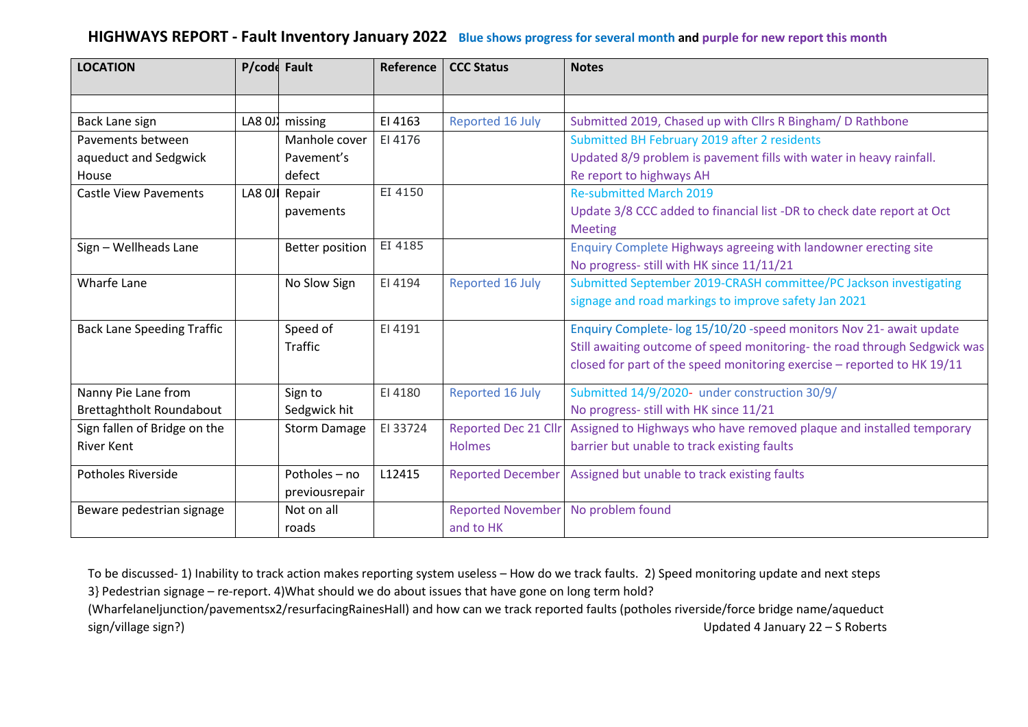## **HIGHWAYS REPORT - Fault Inventory January 2022 Blue shows progress for several month and purple for new report this month**

| <b>LOCATION</b>                   | P/code Fault |                        | Reference | <b>CCC Status</b>           | <b>Notes</b>                                                             |
|-----------------------------------|--------------|------------------------|-----------|-----------------------------|--------------------------------------------------------------------------|
|                                   |              |                        |           |                             |                                                                          |
| Back Lane sign                    | LA8 0J)      | missing                | EI 4163   | Reported 16 July            | Submitted 2019, Chased up with Cllrs R Bingham/ D Rathbone               |
| Pavements between                 |              | Manhole cover          | EI 4176   |                             | Submitted BH February 2019 after 2 residents                             |
| aqueduct and Sedgwick             |              | Pavement's             |           |                             | Updated 8/9 problem is pavement fills with water in heavy rainfall.      |
| House                             |              | defect                 |           |                             | Re report to highways AH                                                 |
| <b>Castle View Pavements</b>      | LA8 OJI      | Repair                 | EI 4150   |                             | <b>Re-submitted March 2019</b>                                           |
|                                   |              | pavements              |           |                             | Update 3/8 CCC added to financial list -DR to check date report at Oct   |
|                                   |              |                        |           |                             | <b>Meeting</b>                                                           |
| Sign - Wellheads Lane             |              | <b>Better position</b> | EI 4185   |                             | Enquiry Complete Highways agreeing with landowner erecting site          |
|                                   |              |                        |           |                             | No progress- still with HK since 11/11/21                                |
| Wharfe Lane                       |              | No Slow Sign           | EI 4194   | Reported 16 July            | Submitted September 2019-CRASH committee/PC Jackson investigating        |
|                                   |              |                        |           |                             | signage and road markings to improve safety Jan 2021                     |
| <b>Back Lane Speeding Traffic</b> |              | Speed of               | EI 4191   |                             | Enquiry Complete- log 15/10/20 -speed monitors Nov 21- await update      |
|                                   |              | <b>Traffic</b>         |           |                             | Still awaiting outcome of speed monitoring-the road through Sedgwick was |
|                                   |              |                        |           |                             | closed for part of the speed monitoring exercise - reported to HK 19/11  |
| Nanny Pie Lane from               |              | Sign to                | EI 4180   | Reported 16 July            | Submitted 14/9/2020- under construction 30/9/                            |
| Brettaghtholt Roundabout          |              | Sedgwick hit           |           |                             | No progress- still with HK since 11/21                                   |
| Sign fallen of Bridge on the      |              | <b>Storm Damage</b>    | EI 33724  | <b>Reported Dec 21 Cllr</b> | Assigned to Highways who have removed plaque and installed temporary     |
| <b>River Kent</b>                 |              |                        |           | <b>Holmes</b>               | barrier but unable to track existing faults                              |
| <b>Potholes Riverside</b>         |              | Potholes - no          | L12415    | <b>Reported December</b>    | Assigned but unable to track existing faults                             |
|                                   |              | previousrepair         |           |                             |                                                                          |
| Beware pedestrian signage         |              | Not on all             |           | <b>Reported November</b>    | No problem found                                                         |
|                                   |              | roads                  |           | and to HK                   |                                                                          |

To be discussed- 1) Inability to track action makes reporting system useless – How do we track faults. 2) Speed monitoring update and next steps 3} Pedestrian signage – re-report. 4)What should we do about issues that have gone on long term hold? (Wharfelaneljunction/pavementsx2/resurfacingRainesHall) and how can we track reported faults (potholes riverside/force bridge name/aqueduct sign/village sign?) Updated 4 January 22 – S Roberts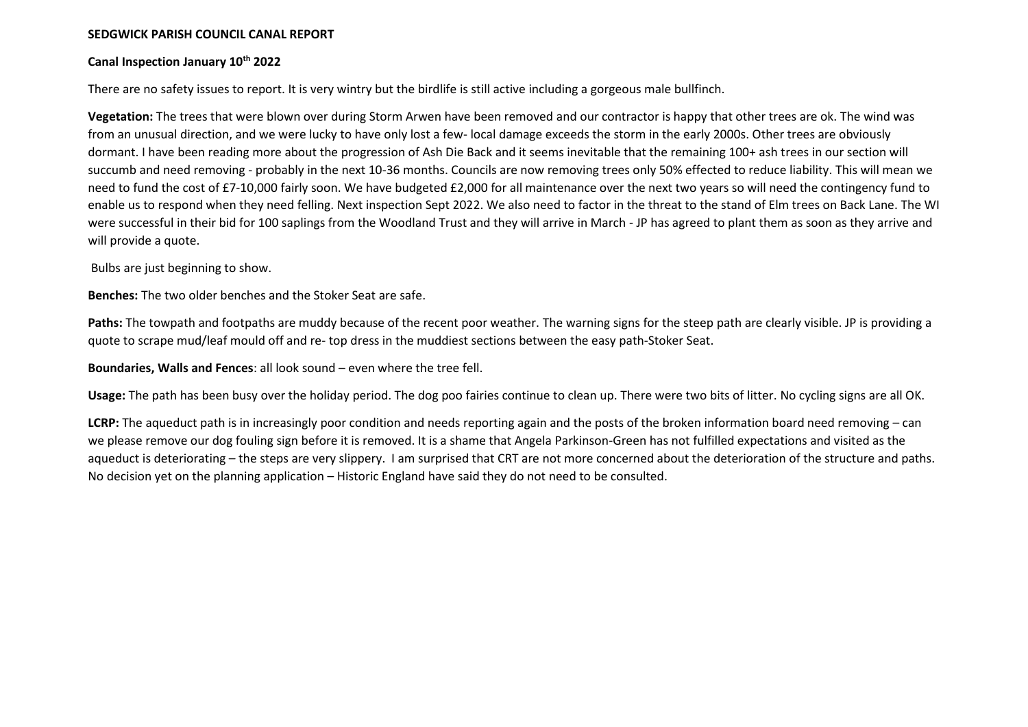## **SEDGWICK PARISH COUNCIL CANAL REPORT**

## **Canal Inspection January 10th 2022**

There are no safety issues to report. It is very wintry but the birdlife is still active including a gorgeous male bullfinch.

**Vegetation:** The trees that were blown over during Storm Arwen have been removed and our contractor is happy that other trees are ok. The wind was from an unusual direction, and we were lucky to have only lost a few- local damage exceeds the storm in the early 2000s. Other trees are obviously dormant. I have been reading more about the progression of Ash Die Back and it seems inevitable that the remaining 100+ ash trees in our section will succumb and need removing - probably in the next 10-36 months. Councils are now removing trees only 50% effected to reduce liability. This will mean we need to fund the cost of £7-10,000 fairly soon. We have budgeted £2,000 for all maintenance over the next two years so will need the contingency fund to enable us to respond when they need felling. Next inspection Sept 2022. We also need to factor in the threat to the stand of Elm trees on Back Lane. The WI were successful in their bid for 100 saplings from the Woodland Trust and they will arrive in March - JP has agreed to plant them as soon as they arrive and will provide a quote.

Bulbs are just beginning to show.

**Benches:** The two older benches and the Stoker Seat are safe.

**Paths:** The towpath and footpaths are muddy because of the recent poor weather. The warning signs for the steep path are clearly visible. JP is providing a quote to scrape mud/leaf mould off and re- top dress in the muddiest sections between the easy path-Stoker Seat.

**Boundaries, Walls and Fences**: all look sound – even where the tree fell.

**Usage:** The path has been busy over the holiday period. The dog poo fairies continue to clean up. There were two bits of litter. No cycling signs are all OK.

**LCRP:** The aqueduct path is in increasingly poor condition and needs reporting again and the posts of the broken information board need removing – can we please remove our dog fouling sign before it is removed. It is a shame that Angela Parkinson-Green has not fulfilled expectations and visited as the aqueduct is deteriorating – the steps are very slippery. I am surprised that CRT are not more concerned about the deterioration of the structure and paths. No decision yet on the planning application – Historic England have said they do not need to be consulted.